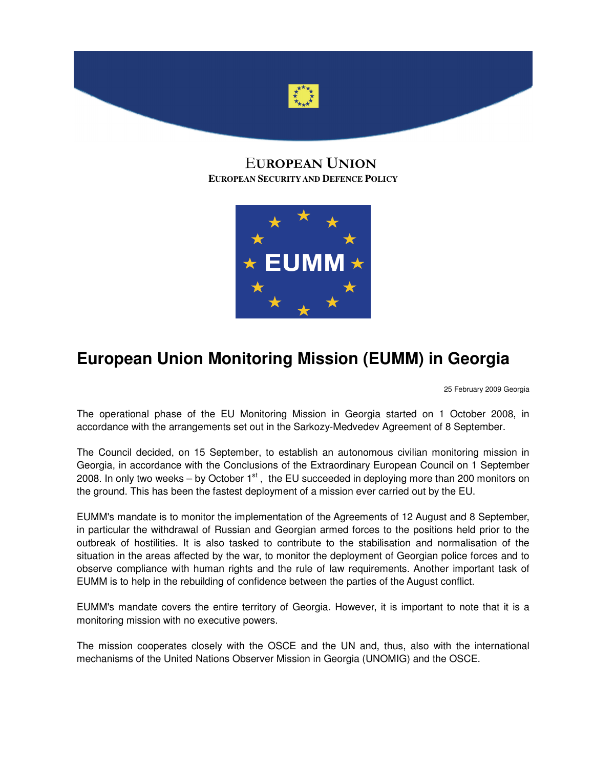

# EUROPEAN UNION **EUROPEAN SECURITY AND DEFENCE POLICY**



# **European Union Monitoring Mission (EUMM) in Georgia**

25 February 2009 Georgia

The operational phase of the EU Monitoring Mission in Georgia started on 1 October 2008, in accordance with the arrangements set out in the Sarkozy-Medvedev Agreement of 8 September.

The Council decided, on 15 September, to establish an autonomous civilian monitoring mission in Georgia, in accordance with the Conclusions of the Extraordinary European Council on 1 September 2008. In only two weeks – by October  $1<sup>st</sup>$ , the EU succeeded in deploying more than 200 monitors on the ground. This has been the fastest deployment of a mission ever carried out by the EU.

EUMM's mandate is to monitor the implementation of the Agreements of 12 August and 8 September, in particular the withdrawal of Russian and Georgian armed forces to the positions held prior to the outbreak of hostilities. It is also tasked to contribute to the stabilisation and normalisation of the situation in the areas affected by the war, to monitor the deployment of Georgian police forces and to observe compliance with human rights and the rule of law requirements. Another important task of EUMM is to help in the rebuilding of confidence between the parties of the August conflict.

EUMM's mandate covers the entire territory of Georgia. However, it is important to note that it is a monitoring mission with no executive powers.

The mission cooperates closely with the OSCE and the UN and, thus, also with the international mechanisms of the United Nations Observer Mission in Georgia (UNOMIG) and the OSCE.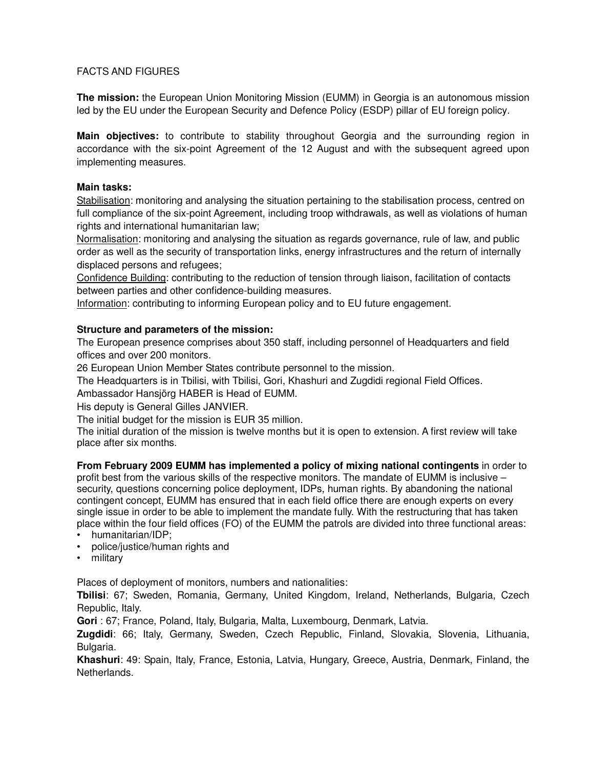### FACTS AND FIGURES

**The mission:** the European Union Monitoring Mission (EUMM) in Georgia is an autonomous mission led by the EU under the European Security and Defence Policy (ESDP) pillar of EU foreign policy.

**Main objectives:** to contribute to stability throughout Georgia and the surrounding region in accordance with the six-point Agreement of the 12 August and with the subsequent agreed upon implementing measures.

#### **Main tasks:**

Stabilisation: monitoring and analysing the situation pertaining to the stabilisation process, centred on full compliance of the six-point Agreement, including troop withdrawals, as well as violations of human rights and international humanitarian law;

Normalisation: monitoring and analysing the situation as regards governance, rule of law, and public order as well as the security of transportation links, energy infrastructures and the return of internally displaced persons and refugees;

Confidence Building: contributing to the reduction of tension through liaison, facilitation of contacts between parties and other confidence-building measures.

Information: contributing to informing European policy and to EU future engagement.

#### **Structure and parameters of the mission:**

The European presence comprises about 350 staff, including personnel of Headquarters and field offices and over 200 monitors.

26 European Union Member States contribute personnel to the mission.

The Headquarters is in Tbilisi, with Tbilisi, Gori, Khashuri and Zugdidi regional Field Offices.

Ambassador Hansjörg HABER is Head of EUMM.

His deputy is General Gilles JANVIER.

The initial budget for the mission is EUR 35 million.

The initial duration of the mission is twelve months but it is open to extension. A first review will take place after six months.

**From February 2009 EUMM has implemented a policy of mixing national contingents** in order to profit best from the various skills of the respective monitors. The mandate of EUMM is inclusive – security, questions concerning police deployment, IDPs, human rights. By abandoning the national contingent concept, EUMM has ensured that in each field office there are enough experts on every single issue in order to be able to implement the mandate fully. With the restructuring that has taken place within the four field offices (FO) of the EUMM the patrols are divided into three functional areas:

• humanitarian/IDP;

- police/justice/human rights and
- military

Places of deployment of monitors, numbers and nationalities:

**Tbilisi**: 67; Sweden, Romania, Germany, United Kingdom, Ireland, Netherlands, Bulgaria, Czech Republic, Italy.

**Gori** : 67; France, Poland, Italy, Bulgaria, Malta, Luxembourg, Denmark, Latvia.

**Zugdidi**: 66; Italy, Germany, Sweden, Czech Republic, Finland, Slovakia, Slovenia, Lithuania, Bulgaria.

**Khashuri**: 49: Spain, Italy, France, Estonia, Latvia, Hungary, Greece, Austria, Denmark, Finland, the Netherlands.